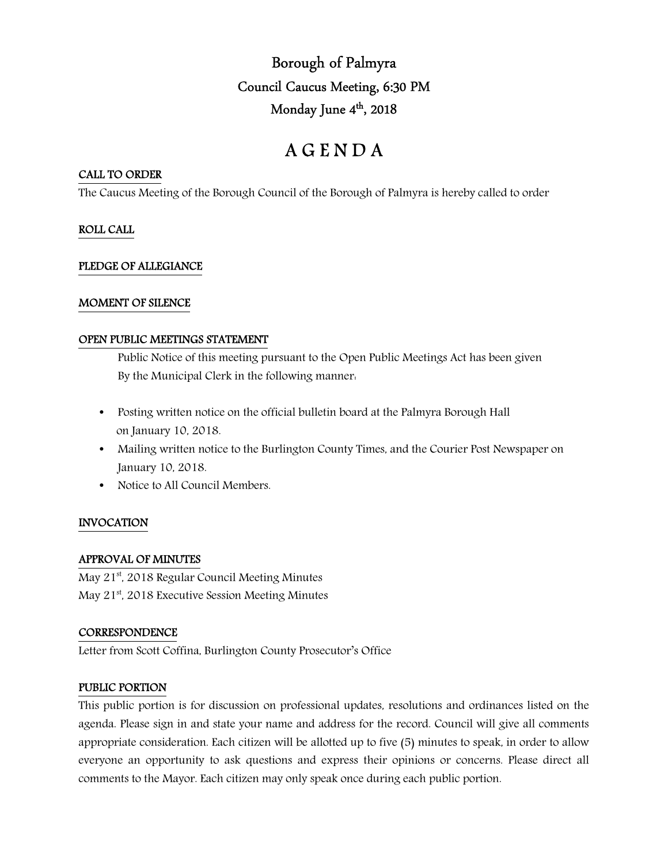Borough of Palmyra Council Caucus Meeting, 6:30 PM Monday June 4<sup>th</sup>, 2018

# A G E N D A

## CALL TO ORDER

The Caucus Meeting of the Borough Council of the Borough of Palmyra is hereby called to order

## ROLL CALL

## PLEDGE OF ALLEGIANCE

## MOMENT OF SILENCE

## OPEN PUBLIC MEETINGS STATEMENT

 Public Notice of this meeting pursuant to the Open Public Meetings Act has been given By the Municipal Clerk in the following manner:

- Posting written notice on the official bulletin board at the Palmyra Borough Hall on January 10, 2018.
- Mailing written notice to the Burlington County Times, and the Courier Post Newspaper on January 10, 2018.
- Notice to All Council Members.

# INVOCATION

## APPROVAL OF MINUTES

May 21<sup>st</sup>, 2018 Regular Council Meeting Minutes May 21st, 2018 Executive Session Meeting Minutes

# **CORRESPONDENCE**

Letter from Scott Coffina, Burlington County Prosecutor's Office

## PUBLIC PORTION

This public portion is for discussion on professional updates, resolutions and ordinances listed on the agenda. Please sign in and state your name and address for the record. Council will give all comments appropriate consideration. Each citizen will be allotted up to five (5) minutes to speak, in order to allow everyone an opportunity to ask questions and express their opinions or concerns. Please direct all comments to the Mayor. Each citizen may only speak once during each public portion.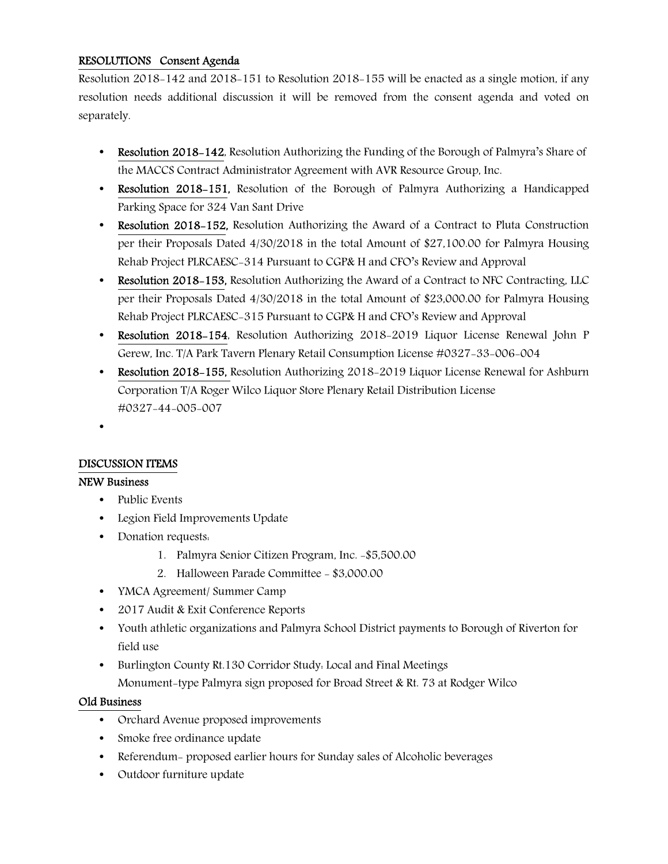# RESOLUTIONS Consent Agenda

Resolution 2018-142 and 2018-151 to Resolution 2018-155 will be enacted as a single motion, if any resolution needs additional discussion it will be removed from the consent agenda and voted on separately.

- Resolution 2018–142, Resolution Authorizing the Funding of the Borough of Palmyra's Share of the MACCS Contract Administrator Agreement with AVR Resource Group, Inc.
- Resolution 2018–151, Resolution of the Borough of Palmyra Authorizing a Handicapped Parking Space for 324 Van Sant Drive
- Resolution 2018-152, Resolution Authorizing the Award of a Contract to Pluta Construction per their Proposals Dated 4/30/2018 in the total Amount of \$27,100.00 for Palmyra Housing Rehab Project PLRCAESC-314 Pursuant to CGP& H and CFO's Review and Approval
- Resolution 2018–153, Resolution Authorizing the Award of a Contract to NFC Contracting, LLC per their Proposals Dated 4/30/2018 in the total Amount of \$23,000.00 for Palmyra Housing Rehab Project PLRCAESC-315 Pursuant to CGP& H and CFO's Review and Approval
- Resolution 2018-154, Resolution Authorizing 2018-2019 Liquor License Renewal John P Gerew, Inc. T/A Park Tavern Plenary Retail Consumption License #0327-33-006-004
- Resolution 2018-155, Resolution Authorizing 2018-2019 Liquor License Renewal for Ashburn Corporation T/A Roger Wilco Liquor Store Plenary Retail Distribution License #0327-44-005-007
- •

# DISCUSSION ITEMS

# NEW Business

- Public Events
- Legion Field Improvements Update
- Donation requests:
	- 1. Palmyra Senior Citizen Program, Inc. -\$5,500.00
	- 2. Halloween Parade Committee \$3,000.00
- YMCA Agreement/ Summer Camp
- 2017 Audit & Exit Conference Reports
- Youth athletic organizations and Palmyra School District payments to Borough of Riverton for field use
- Burlington County Rt.130 Corridor Study: Local and Final Meetings Monument-type Palmyra sign proposed for Broad Street & Rt. 73 at Rodger Wilco

## Old Business

- Orchard Avenue proposed improvements
- Smoke free ordinance update
- Referendum- proposed earlier hours for Sunday sales of Alcoholic beverages
- Outdoor furniture update